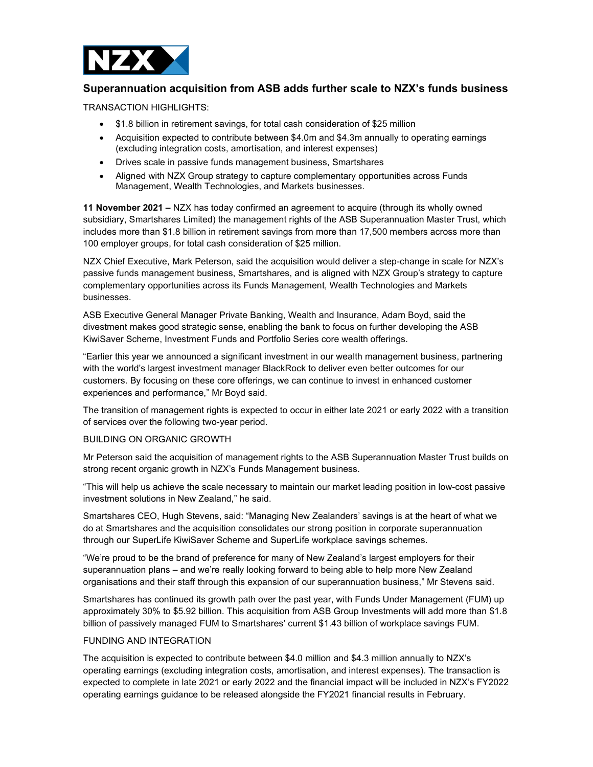

# Superannuation acquisition from ASB adds further scale to NZX's funds business

TRANSACTION HIGHLIGHTS:

- \$1.8 billion in retirement savings, for total cash consideration of \$25 million
- Acquisition expected to contribute between \$4.0m and \$4.3m annually to operating earnings (excluding integration costs, amortisation, and interest expenses)
- Drives scale in passive funds management business, Smartshares
- Aligned with NZX Group strategy to capture complementary opportunities across Funds Management, Wealth Technologies, and Markets businesses.

11 November 2021 – NZX has today confirmed an agreement to acquire (through its wholly owned subsidiary, Smartshares Limited) the management rights of the ASB Superannuation Master Trust, which includes more than \$1.8 billion in retirement savings from more than 17,500 members across more than 100 employer groups, for total cash consideration of \$25 million.

NZX Chief Executive, Mark Peterson, said the acquisition would deliver a step-change in scale for NZX's passive funds management business, Smartshares, and is aligned with NZX Group's strategy to capture complementary opportunities across its Funds Management, Wealth Technologies and Markets businesses.

ASB Executive General Manager Private Banking, Wealth and Insurance, Adam Boyd, said the divestment makes good strategic sense, enabling the bank to focus on further developing the ASB KiwiSaver Scheme, Investment Funds and Portfolio Series core wealth offerings.

"Earlier this year we announced a significant investment in our wealth management business, partnering with the world's largest investment manager BlackRock to deliver even better outcomes for our customers. By focusing on these core offerings, we can continue to invest in enhanced customer experiences and performance," Mr Boyd said.

The transition of management rights is expected to occur in either late 2021 or early 2022 with a transition of services over the following two-year period.

## BUILDING ON ORGANIC GROWTH

Mr Peterson said the acquisition of management rights to the ASB Superannuation Master Trust builds on strong recent organic growth in NZX's Funds Management business.

"This will help us achieve the scale necessary to maintain our market leading position in low-cost passive investment solutions in New Zealand," he said.

Smartshares CEO, Hugh Stevens, said: "Managing New Zealanders' savings is at the heart of what we do at Smartshares and the acquisition consolidates our strong position in corporate superannuation through our SuperLife KiwiSaver Scheme and SuperLife workplace savings schemes.

"We're proud to be the brand of preference for many of New Zealand's largest employers for their superannuation plans – and we're really looking forward to being able to help more New Zealand organisations and their staff through this expansion of our superannuation business," Mr Stevens said.

Smartshares has continued its growth path over the past year, with Funds Under Management (FUM) up approximately 30% to \$5.92 billion. This acquisition from ASB Group Investments will add more than \$1.8 billion of passively managed FUM to Smartshares' current \$1.43 billion of workplace savings FUM.

## FUNDING AND INTEGRATION

The acquisition is expected to contribute between \$4.0 million and \$4.3 million annually to NZX's operating earnings (excluding integration costs, amortisation, and interest expenses). The transaction is expected to complete in late 2021 or early 2022 and the financial impact will be included in NZX's FY2022 operating earnings guidance to be released alongside the FY2021 financial results in February.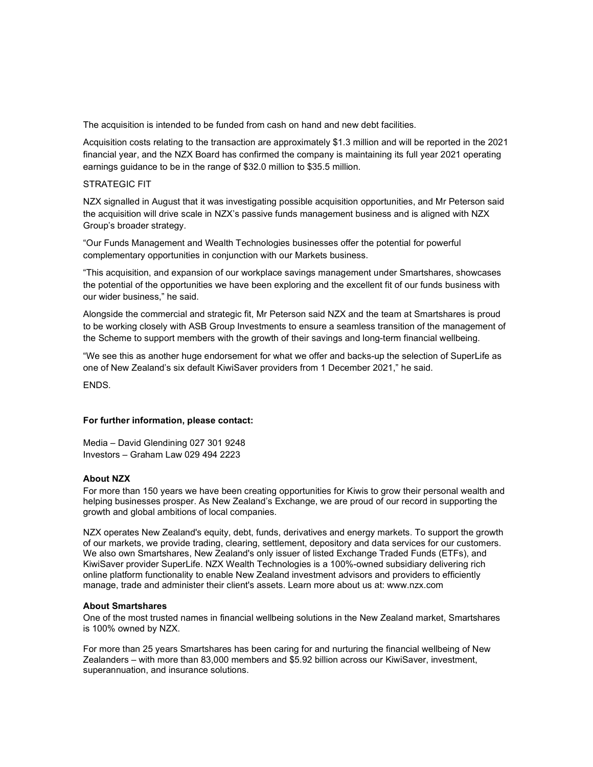The acquisition is intended to be funded from cash on hand and new debt facilities.

Acquisition costs relating to the transaction are approximately \$1.3 million and will be reported in the 2021 financial year, and the NZX Board has confirmed the company is maintaining its full year 2021 operating earnings guidance to be in the range of \$32.0 million to \$35.5 million.

#### STRATEGIC FIT

NZX signalled in August that it was investigating possible acquisition opportunities, and Mr Peterson said the acquisition will drive scale in NZX's passive funds management business and is aligned with NZX Group's broader strategy.

"Our Funds Management and Wealth Technologies businesses offer the potential for powerful complementary opportunities in conjunction with our Markets business.

"This acquisition, and expansion of our workplace savings management under Smartshares, showcases the potential of the opportunities we have been exploring and the excellent fit of our funds business with our wider business," he said.

Alongside the commercial and strategic fit, Mr Peterson said NZX and the team at Smartshares is proud to be working closely with ASB Group Investments to ensure a seamless transition of the management of the Scheme to support members with the growth of their savings and long-term financial wellbeing.

"We see this as another huge endorsement for what we offer and backs-up the selection of SuperLife as one of New Zealand's six default KiwiSaver providers from 1 December 2021," he said.

ENDS.

## For further information, please contact:

Media – David Glendining 027 301 9248 Investors – Graham Law 029 494 2223

## About NZX

For more than 150 years we have been creating opportunities for Kiwis to grow their personal wealth and helping businesses prosper. As New Zealand's Exchange, we are proud of our record in supporting the growth and global ambitions of local companies.

NZX operates New Zealand's equity, debt, funds, derivatives and energy markets. To support the growth of our markets, we provide trading, clearing, settlement, depository and data services for our customers. We also own Smartshares, New Zealand's only issuer of listed Exchange Traded Funds (ETFs), and KiwiSaver provider SuperLife. NZX Wealth Technologies is a 100%-owned subsidiary delivering rich online platform functionality to enable New Zealand investment advisors and providers to efficiently manage, trade and administer their client's assets. Learn more about us at: www.nzx.com

#### About Smartshares

One of the most trusted names in financial wellbeing solutions in the New Zealand market, Smartshares is 100% owned by NZX.

For more than 25 years Smartshares has been caring for and nurturing the financial wellbeing of New Zealanders – with more than 83,000 members and \$5.92 billion across our KiwiSaver, investment, superannuation, and insurance solutions.